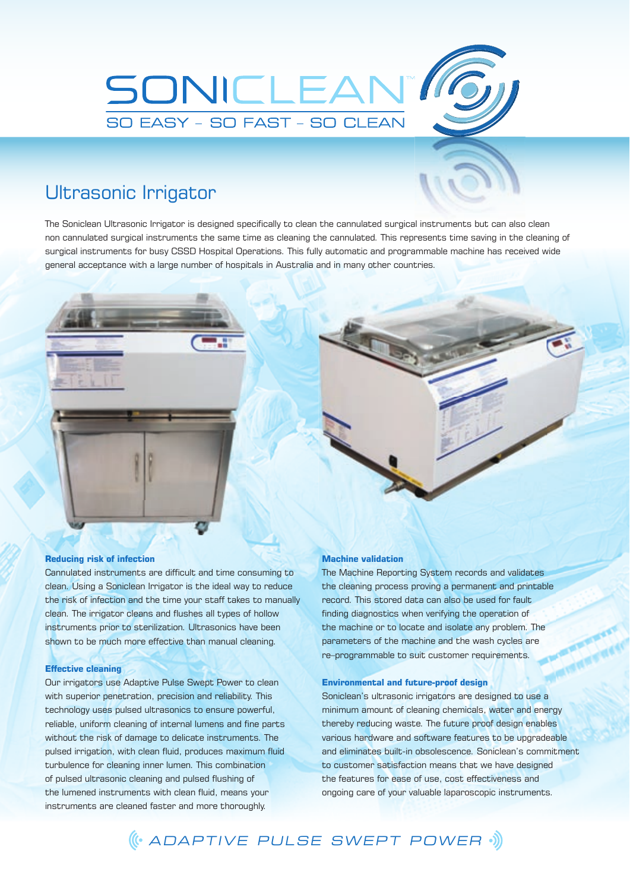

## Ultrasonic Irrigator

The Soniclean Ultrasonic Irrigator is designed specifically to clean the cannulated surgical instruments but can also clean non cannulated surgical instruments the same time as cleaning the cannulated. This represents time saving in the cleaning of surgical instruments for busy CSSD Hospital Operations. This fully automatic and programmable machine has received wide general acceptance with a large number of hospitals in Australia and in many other countries.



#### **Reducing risk of infection**

Cannulated instruments are difficult and time consuming to clean. Using a Soniclean Irrigator is the ideal way to reduce the risk of infection and the time your staff takes to manually clean. The irrigator cleans and flushes all types of hollow instruments prior to sterilization. Ultrasonics have been shown to be much more effective than manual cleaning.

#### **Effective cleaning**

Our irrigators use Adaptive Pulse Swept Power to clean with superior penetration, precision and reliability. This technology uses pulsed ultrasonics to ensure powerful, reliable, uniform cleaning of internal lumens and fine parts without the risk of damage to delicate instruments. The pulsed irrigation, with clean fluid, produces maximum fluid turbulence for cleaning inner lumen. This combination of pulsed ultrasonic cleaning and pulsed flushing of the lumened instruments with clean fluid, means your instruments are cleaned faster and more thoroughly.

#### **Machine validation**

The Machine Reporting System records and validates the cleaning process proving a permanent and printable record. This stored data can also be used for fault finding diagnostics when verifying the operation of the machine or to locate and isolate any problem. The parameters of the machine and the wash cycles are re–programmable to suit customer requirements.

#### **Environmental and future-proof design**

Soniclean's ultrasonic irrigators are designed to use a minimum amount of cleaning chemicals, water and energy thereby reducing waste. The future proof design enables various hardware and software features to be upgradeable and eliminates built-in obsolescence. Soniclean's commitment to customer satisfaction means that we have designed the features for ease of use, cost effectiveness and ongoing care of your valuable laparoscopic instruments.

ADAPTIVE PULSE SWEPT POWER